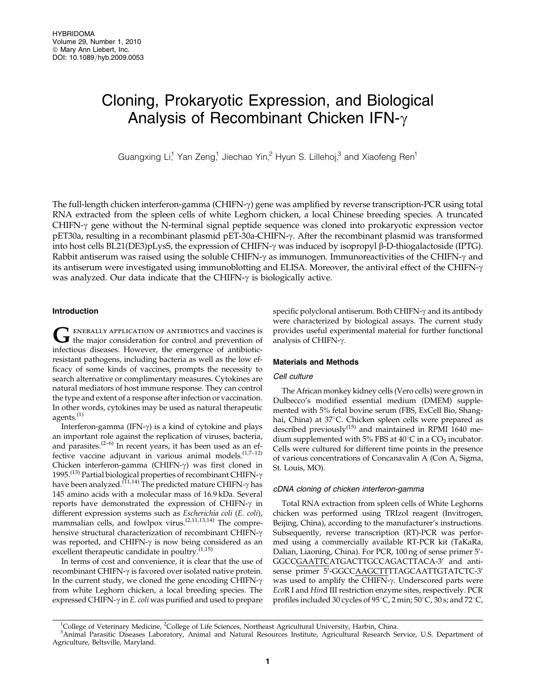# Cloning, Prokaryotic Expression, and Biological Analysis of Recombinant Chicken IFN- $\gamma$

Guangxing Li,<sup>1</sup> Yan Zeng,<sup>1</sup> Jiechao Yin,<sup>2</sup> Hyun S. Lillehoj,<sup>3</sup> and Xiaofeng Ren<sup>1</sup>

The full-length chicken interferon-gamma (CHIFN-g) gene was amplified by reverse transcription-PCR using total RNA extracted from the spleen cells of white Leghorn chicken, a local Chinese breeding species. A truncated CHIFN- $\gamma$  gene without the N-terminal signal peptide sequence was cloned into prokaryotic expression vector pET30a, resulting in a recombinant plasmid pET-30a-CHIFN- $\gamma$ . After the recombinant plasmid was transformed into host cells BL21(DE3)pLysS, the expression of CHIFN- $\gamma$  was induced by isopropyl  $\beta$ -D-thiogalactoside (IPTG). Rabbit antiserum was raised using the soluble CHIFN- $\gamma$  as immunogen. Immunoreactivities of the CHIFN- $\gamma$  and its antiserum were investigated using immunoblotting and ELISA. Moreover, the antiviral effect of the CHIFN-g was analyzed. Our data indicate that the CHIFN- $\gamma$  is biologically active.

## Introduction

GENERALLY APPLICATION OF ANTIBIOTICS and vaccines is<br>the major consideration for control and prevention of infectious diseases. However, the emergence of antibioticresistant pathogens, including bacteria as well as the low efficacy of some kinds of vaccines, prompts the necessity to search alternative or complimentary measures. Cytokines are natural mediators of host immune response. They can control the type and extent of a response after infection or vaccination. In other words, cytokines may be used as natural therapeutic agents.<sup>(1)</sup>

Interferon-gamma (IFN- $\gamma$ ) is a kind of cytokine and plays an important role against the replication of viruses, bacteria, and parasites.<sup> $(2-6)$ </sup> In recent years, it has been used as an effective vaccine adjuvant in various animal models. $(1,7-12)$ Chicken interferon-gamma (CHIFN- $\gamma$ ) was first cloned in 1995.<sup>(13)</sup> Partial biological properties of recombinant CHIFN- $\gamma$ have been analyzed.<sup>(11,14)</sup> The predicted mature CHIFN- $\gamma$  has 145 amino acids with a molecular mass of 16.9 kDa. Several reports have demonstrated the expression of CHIFN- $\gamma$  in different expression systems such as Escherichia coli (E. coli), mammalian cells, and fowlpox virus.<sup>(2,11,13,14)</sup> The comprehensive structural characterization of recombinant CHIFN- $\gamma$ was reported, and CHIFN- $\gamma$  is now being considered as an excellent therapeutic candidate in poultry. $(1,15)$ 

In terms of cost and convenience, it is clear that the use of recombinant CHIFN-g is favored over isolated native protein. In the current study, we cloned the gene encoding CHIFN- $\gamma$ from white Leghorn chicken, a local breeding species. The expressed CHIFN- $\gamma$  in *E. coli* was purified and used to prepare specific polyclonal antiserum. Both CHIFN- $\gamma$  and its antibody were characterized by biological assays. The current study provides useful experimental material for further functional analysis of CHIFN- $\gamma$ .

### Materials and Methods

## Cell culture

The African monkey kidney cells (Vero cells) were grown in Dulbecco's modified essential medium (DMEM) supplemented with 5% fetal bovine serum (FBS, ExCell Bio, Shanghai, China) at 37°C. Chicken spleen cells were prepared as described previously $^{(15)}$  and maintained in RPMI 1640 medium supplemented with 5% FBS at  $40^{\circ}$ C in a CO<sub>2</sub> incubator. Cells were cultured for different time points in the presence of various concentrations of Concanavalin A (Con A, Sigma, St. Louis, MO).

## cDNA cloning of chicken interferon-gamma

Total RNA extraction from spleen cells of White Leghorns chicken was performed using TRIzol reagent (Invitrogen, Beijing, China), according to the manufacturer's instructions. Subsequently, reverse transcription (RT)-PCR was performed using a commercially available RT-PCR kit (TaKaRa, Dalian, Liaoning, China). For PCR, 100 ng of sense primer 5'-GGCCGAATTCATGACTTGCCAGACTTACA-3' and antisense primer 5'-GGCCAAGCTTTTAGCAATTGTATCTC-3' was used to amplify the CHIFN- $\gamma$ . Underscored parts were EcoR I and Hind III restriction enzyme sites, respectively. PCR profiles included 30 cycles of  $95^{\circ}$ C, 2 min;  $50^{\circ}$ C, 30 s; and  $72^{\circ}$ C,

<sup>&</sup>lt;sup>1</sup>College of Veterinary Medicine, <sup>2</sup>College of Life Sciences, Northeast Agricultural University, Harbin, China.<br><sup>3</sup>Animal Parasitic Diseases Laboratory, Animal and Natural Resources Institute, Agricultural Research Se

Animal Parasitic Diseases Laboratory, Animal and Natural Resources Institute, Agricultural Research Service, U.S. Department of Agriculture, Beltsville, Maryland.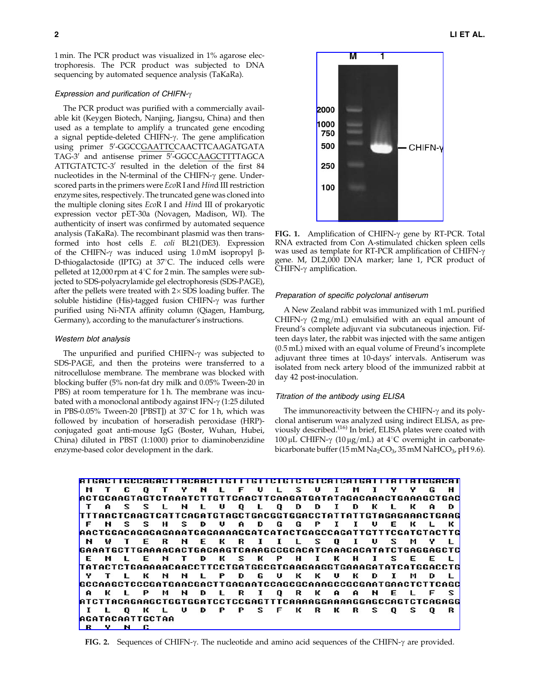1 min. The PCR product was visualized in 1% agarose electrophoresis. The PCR product was subjected to DNA sequencing by automated sequence analysis (TaKaRa).

#### Expression and purification of CHIFN- $\gamma$

The PCR product was purified with a commercially available kit (Keygen Biotech, Nanjing, Jiangsu, China) and then used as a template to amplify a truncated gene encoding a signal peptide-deleted CHIFN- $\gamma$ . The gene amplification using primer 5'-GGCCGAATTCCAACTTCAAGATGATA TAG-3' and antisense primer 5'-GGCCAAGCTTTTAGCA ATTGTATCTC-3' resulted in the deletion of the first 84 nucleotides in the N-terminal of the CHIFN- $\gamma$  gene. Underscored parts in the primers were EcoR I and Hind III restriction enzyme sites, respectively. The truncated gene was cloned into the multiple cloning sites EcoR I and Hind III of prokaryotic expression vector pET-30a (Novagen, Madison, WI). The authenticity of insert was confirmed by automated sequence analysis (TaKaRa). The recombinant plasmid was then transformed into host cells E. coli BL21(DE3). Expression of the CHIFN- $\gamma$  was induced using 1.0 mM isopropyl  $\beta$ -D-thiogalactoside (IPTG) at  $37^{\circ}$ C. The induced cells were pelleted at 12,000 rpm at  $4^{\circ}$ C for 2 min. The samples were subjected to SDS-polyacrylamide gel electrophoresis (SDS-PAGE), after the pellets were treated with  $2 \times$  SDS loading buffer. The soluble histidine (His)-tagged fusion CHIFN- $\gamma$  was further purified using Ni-NTA affinity column (Qiagen, Hamburg, Germany), according to the manufacturer's instructions.

## Western blot analysis

The unpurified and purified CHIFN- $\gamma$  was subjected to SDS-PAGE, and then the proteins were transferred to a nitrocellulose membrane. The membrane was blocked with blocking buffer (5% non-fat dry milk and 0.05% Tween-20 in PBS) at room temperature for 1 h. The membrane was incubated with a monoclonal antibody against IFN- $\gamma$  (1:25 diluted in PBS-0.05% Tween-20 [PBST]) at  $37^{\circ}$ C for 1h, which was followed by incubation of horseradish peroxidase (HRP) conjugated goat anti-mouse IgG (Boster, Wuhan, Hubei, China) diluted in PBST (1:1000) prior to diaminobenzidine enzyme-based color development in the dark.



FIG. 1. Amplification of CHIFN- $\gamma$  gene by RT-PCR. Total RNA extracted from Con A-stimulated chicken spleen cells was used as template for RT-PCR amplification of CHIFN- $\gamma$ gene. M, DL2,000 DNA marker; lane 1, PCR product of  $CHIFN-\gamma$  amplification.

#### Preparation of specific polyclonal antiserum

A New Zealand rabbit was immunized with 1 mL purified CHIFN- $\gamma$  (2 mg/mL) emulsified with an equal amount of Freund's complete adjuvant via subcutaneous injection. Fifteen days later, the rabbit was injected with the same antigen (0.5 mL) mixed with an equal volume of Freund's incomplete adjuvant three times at 10-days' intervals. Antiserum was isolated from neck artery blood of the immunized rabbit at day 42 post-inoculation.

## Titration of the antibody using ELISA

The immunoreactivity between the CHIFN- $\gamma$  and its polyclonal antiserum was analyzed using indirect ELISA, as previously described.<sup>(16)</sup> In brief, ELISA plates were coated with 100 µL CHIFN- $\gamma$  (10 µg/mL) at 4°C overnight in carbonatebicarbonate buffer (15 mM  $Na<sub>2</sub>CO<sub>3</sub>$ , 35 mM NaHCO<sub>3</sub>, pH 9.6).

<u>ATGACTTGCCAGACTTACAACTTGTTTGTTCTGTCTGTCATCATGATTTATTATGGACAT</u> U L S Y Y M T C O T Y. N L F U  $\mathbf{I}$ M  $\mathbf{I}$ G н **ACTGCAAGTAGTCTAAATCTTGTTCAACTTCAAGATGATATAGACAAACTGAAAGCTGAC** S  $S$ L L. U  $\mathbf{Q}$ L.  $Q$   $D$ D I D к L T  $\mathbf{A}$ N к D TTTAACTCAAGTCATTCAGATGTAGCTGACGGTGGACCTATTATTGTAGAGAAACTGAAG P  $I$   $I$ F  $R$   $\overline{S}$  $S$  H 2  $\mathbf{D}$ U  $\mathbf{A}$ D G G U E K L. к AACTGGACAGAGAGAAATGAGAAAAGGATCATACTGAGCCAGATTGTTTCGATGTACTTG N w T. Е **R** N. Е K R  $\mathbf{I}$  $\mathbf{I}$ L, S Q  $\mathbf{I}$ U s м L GAAATGCTTGAAAACACTGACAAGTCAAAGCCGCACATCAAACACATATCTGAGGAGCTC E н T D к S к P н к н  $\mathbf{z}$ F F. M L I 1 E . TATACTCTGAAAAACAACCTTCCTGATGGCGTGAAGAAGGTGAAAGATATCATGGACCTG L. к N N L Р D G U к к U к D 1 м D L  $\mathbf{T}$ **GCCAAGCTCCCGATGAACGACTTGAGAATCCAGCGCAAAGCCGCGAATGAACTCTTCAGC** к P M N D L  $\mathbf R$ 1 Q R к A  $\mathbf{a}$ н E F S  $\mathbf{a}$ L. L ATCTTACAGAAGCTGGTGGATCCTCCGAGTTTCAAAAGGAAAAGGAGCCAGTCTCAGAGG I L Q K L υ D P P s F к R к R s Q s Q R **AGATACAATTGCTAA**  $R$ <u>v</u>  $\mathbf{N}$ c

FIG. 2. Sequences of CHIFN- $\gamma$ . The nucleotide and amino acid sequences of the CHIFN- $\gamma$  are provided.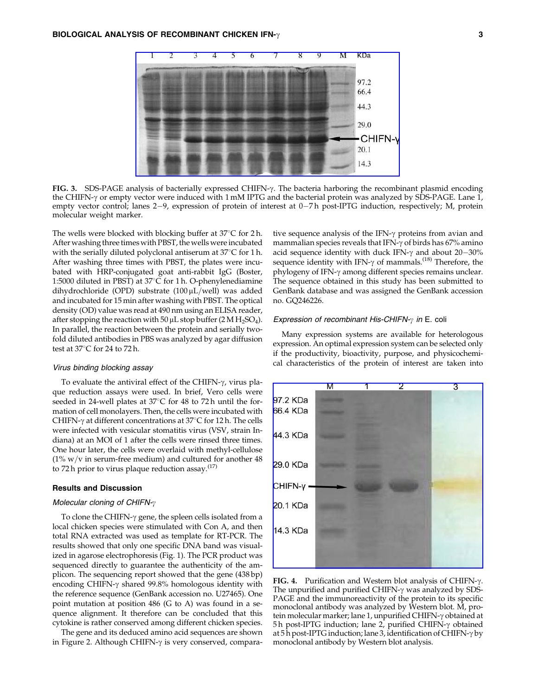

FIG. 3. SDS-PAGE analysis of bacterially expressed CHIFN- $\gamma$ . The bacteria harboring the recombinant plasmid encoding the CHIFN- $\gamma$  or empty vector were induced with 1 mM IPTG and the bacterial protein was analyzed by SDS-PAGE. Lane 1, empty vector control; lanes 2-9, expression of protein of interest at 0-7 h post-IPTG induction, respectively; M, protein molecular weight marker.

The wells were blocked with blocking buffer at  $37^{\circ}$ C for 2 h. After washing three times with PBST, the wells were incubated with the serially diluted polyclonal antiserum at  $37^{\circ}$ C for 1 h. After washing three times with PBST, the plates were incubated with HRP-conjugated goat anti-rabbit IgG (Boster, 1:5000 diluted in PBST) at  $37^{\circ}$ C for 1 h. O-phenylenediamine dihydrochloride (OPD) substrate  $(100 \,\mu L/well)$  was added and incubated for 15 min after washing with PBST. The optical density (OD) value was read at 490 nm using an ELISA reader, after stopping the reaction with 50  $\mu$ L stop buffer (2 M H<sub>2</sub>SO<sub>4</sub>). In parallel, the reaction between the protein and serially twofold diluted antibodies in PBS was analyzed by agar diffusion test at  $37^{\circ}$ C for 24 to 72 h.

#### Virus binding blocking assay

To evaluate the antiviral effect of the CHIFN- $\gamma$ , virus plaque reduction assays were used. In brief, Vero cells were seeded in 24-well plates at  $37^{\circ}$ C for 48 to 72 h until the formation of cell monolayers. Then, the cells were incubated with CHIFN- $\gamma$  at different concentrations at 37 $\degree$ C for 12 h. The cells were infected with vesicular stomatitis virus (VSV, strain Indiana) at an MOI of 1 after the cells were rinsed three times. One hour later, the cells were overlaid with methyl-cellulose (1%  $w/v$  in serum-free medium) and cultured for another 48 to 72 h prior to virus plaque reduction assay. $(17)$ 

#### Results and Discussion

#### Molecular cloning of CHIFN- $\gamma$

To clone the CHIFN- $\gamma$  gene, the spleen cells isolated from a local chicken species were stimulated with Con A, and then total RNA extracted was used as template for RT-PCR. The results showed that only one specific DNA band was visualized in agarose electrophoresis (Fig. 1). The PCR product was sequenced directly to guarantee the authenticity of the amplicon. The sequencing report showed that the gene (438 bp) encoding CHIFN- $\gamma$  shared 99.8% homologous identity with the reference sequence (GenBank accession no. U27465). One point mutation at position 486 (G to A) was found in a sequence alignment. It therefore can be concluded that this cytokine is rather conserved among different chicken species.

The gene and its deduced amino acid sequences are shown in Figure 2. Although CHIFN- $\gamma$  is very conserved, compara-

tive sequence analysis of the IFN-g proteins from avian and mammalian species reveals that IFN- $\gamma$  of birds has 67% amino acid sequence identity with duck IFN- $\gamma$  and about 20–30% sequence identity with IFN- $\gamma$  of mammals.<sup>(18)</sup> Therefore, the phylogeny of IFN- $\gamma$  among different species remains unclear. The sequence obtained in this study has been submitted to GenBank database and was assigned the GenBank accession no. GQ246226.

#### Expression of recombinant His-CHIFN- $\gamma$  in E. coli

Many expression systems are available for heterologous expression. An optimal expression system can be selected only if the productivity, bioactivity, purpose, and physicochemical characteristics of the protein of interest are taken into



FIG. 4. Purification and Western blot analysis of CHIFN- $\gamma$ . The unpurified and purified CHIFN- $\gamma$  was analyzed by SDS-PAGE and the immunoreactivity of the protein to its specific monoclonal antibody was analyzed by Western blot. M, protein molecular marker; lane 1, unpurified CHIFN-γ obtained at 5 h post-IPTG induction; lane 2, purified CHIFN-g obtained at  $5h$  post-IPTG induction; lane 3, identification of CHIFN- $\gamma$  by monoclonal antibody by Western blot analysis.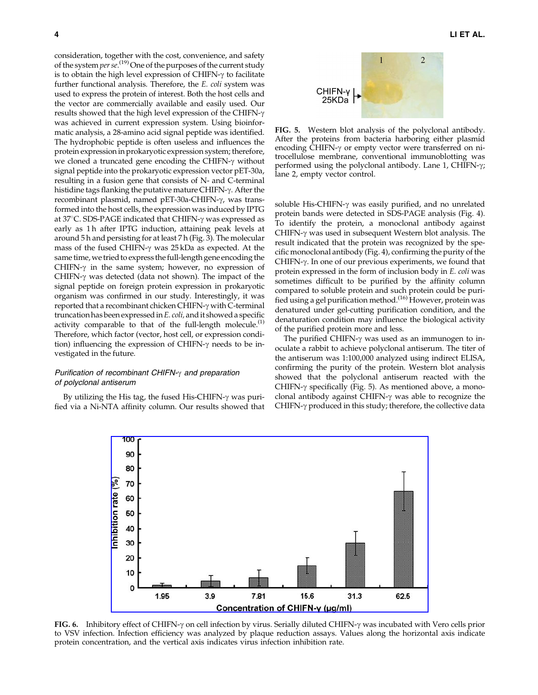consideration, together with the cost, convenience, and safety of the system per  $se^{(19)}$  One of the purposes of the current study is to obtain the high level expression of CHIFN- $\gamma$  to facilitate further functional analysis. Therefore, the E. coli system was used to express the protein of interest. Both the host cells and the vector are commercially available and easily used. Our results showed that the high level expression of the CHIFN-g was achieved in current expression system. Using bioinformatic analysis, a 28-amino acid signal peptide was identified. The hydrophobic peptide is often useless and influences the protein expression in prokaryotic expression system; therefore, we cloned a truncated gene encoding the CHIFN- $\gamma$  without signal peptide into the prokaryotic expression vector pET-30a, resulting in a fusion gene that consists of N- and C-terminal histidine tags flanking the putative mature CHIFN-y. After the recombinant plasmid, named pET-30a-CHIFN-γ, was transformed into the host cells, the expression was induced by IPTG at 37 $\degree$ C. SDS-PAGE indicated that CHIFN- $\gamma$  was expressed as early as 1 h after IPTG induction, attaining peak levels at around 5 h and persisting for at least 7 h (Fig. 3). The molecular mass of the fused CHIFN- $\gamma$  was 25 kDa as expected. At the same time, we tried to express the full-length gene encoding the CHIFN- $\gamma$  in the same system; however, no expression of CHIFN- $\gamma$  was detected (data not shown). The impact of the signal peptide on foreign protein expression in prokaryotic organism was confirmed in our study. Interestingly, it was reported that a recombinant chicken CHIFN- $\gamma$  with C-terminal truncation has been expressed inE. coli, and it showed a specific activity comparable to that of the full-length molecule.<sup>(1)</sup> Therefore, which factor (vector, host cell, or expression condition) influencing the expression of CHIFN- $\gamma$  needs to be investigated in the future.

## Purification of recombinant CHIFN- $\gamma$  and preparation of polyclonal antiserum

By utilizing the His tag, the fused His-CHIFN- $\gamma$  was purified via a Ni-NTA affinity column. Our results showed that



FIG. 5. Western blot analysis of the polyclonal antibody. After the proteins from bacteria harboring either plasmid encoding CHIFN- $\gamma$  or empty vector were transferred on nitrocellulose membrane, conventional immunoblotting was performed using the polyclonal antibody. Lane 1, CHIFN- $\gamma$ ; lane 2, empty vector control.

soluble His-CHIFN- $\gamma$  was easily purified, and no unrelated protein bands were detected in SDS-PAGE analysis (Fig. 4). To identify the protein, a monoclonal antibody against CHIFN- $\gamma$  was used in subsequent Western blot analysis. The result indicated that the protein was recognized by the specific monoclonal antibody (Fig. 4), confirming the purity of the CHIFN- $\gamma$ . In one of our previous experiments, we found that protein expressed in the form of inclusion body in E. coli was sometimes difficult to be purified by the affinity column compared to soluble protein and such protein could be purified using a gel purification method.<sup>(16)</sup> However, protein was denatured under gel-cutting purification condition, and the denaturation condition may influence the biological activity of the purified protein more and less.

The purified CHIFN- $\gamma$  was used as an immunogen to inoculate a rabbit to achieve polyclonal antiserum. The titer of the antiserum was 1:100,000 analyzed using indirect ELISA, confirming the purity of the protein. Western blot analysis showed that the polyclonal antiserum reacted with the CHIFN- $\gamma$  specifically (Fig. 5). As mentioned above, a monoclonal antibody against CHIFN-g was able to recognize the CHIFN- $\gamma$  produced in this study; therefore, the collective data



FIG. 6. Inhibitory effect of CHIFN- $\gamma$  on cell infection by virus. Serially diluted CHIFN- $\gamma$  was incubated with Vero cells prior to VSV infection. Infection efficiency was analyzed by plaque reduction assays. Values along the horizontal axis indicate protein concentration, and the vertical axis indicates virus infection inhibition rate.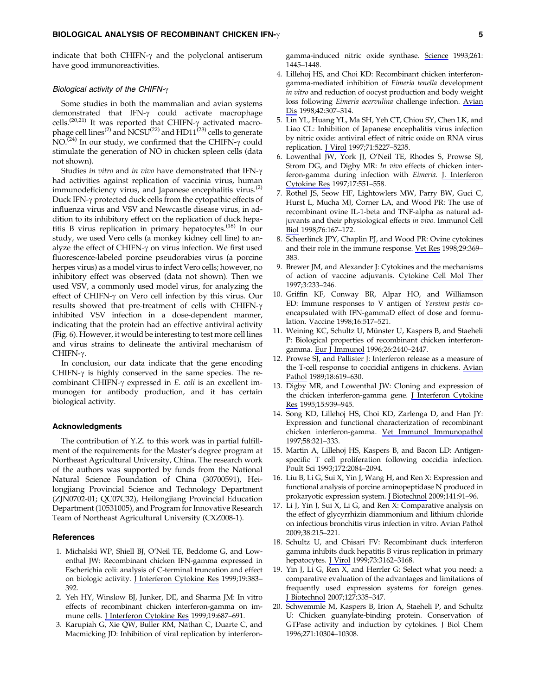indicate that both CHIFN- $\gamma$  and the polyclonal antiserum have good immunoreactivities.

#### Biological activity of the CHIFN- $\gamma$

Some studies in both the mammalian and avian systems demonstrated that IFN- $\gamma$  could activate macrophage cells.<sup>(20,21)</sup> It was reported that CHIFN- $\gamma$  activated macrophage cell lines<sup>(2)</sup> and NCSU<sup>(22)</sup> and HD11<sup>(23)</sup> cells to generate  $NO^{(24)}$  In our study, we confirmed that the CHIFN- $\gamma$  could stimulate the generation of NO in chicken spleen cells (data not shown).

Studies in vitro and in vivo have demonstrated that IFN- $\gamma$ had activities against replication of vaccinia virus, human immunodeficiency virus, and Japanese encephalitis virus. $(2)$ Duck IFN-γ protected duck cells from the cytopathic effects of influenza virus and VSV and Newcastle disease virus, in addition to its inhibitory effect on the replication of duck hepatitis B virus replication in primary hepatocytes.<sup> $(18)$ </sup> In our study, we used Vero cells (a monkey kidney cell line) to analyze the effect of CHIFN- $\gamma$  on virus infection. We first used fluorescence-labeled porcine pseudorabies virus (a porcine herpes virus) as a model virus to infect Vero cells; however, no inhibitory effect was observed (data not shown). Then we used VSV, a commonly used model virus, for analyzing the effect of CHIFN- $\gamma$  on Vero cell infection by this virus. Our results showed that pre-treatment of cells with CHIFN-g inhibited VSV infection in a dose-dependent manner, indicating that the protein had an effective antiviral activity (Fig. 6). However, it would be interesting to test more cell lines and virus strains to delineate the antiviral mechanism of  $CHIFN-\gamma$ .

In conclusion, our data indicate that the gene encoding CHIFN- $\gamma$  is highly conserved in the same species. The recombinant CHIFN- $\gamma$  expressed in E. coli is an excellent immunogen for antibody production, and it has certain biological activity.

#### Acknowledgments

The contribution of Y.Z. to this work was in partial fulfillment of the requirements for the Master's degree program at Northeast Agricultural University, China. The research work of the authors was supported by funds from the National Natural Science Foundation of China (30700591), Heilongjiang Provincial Science and Technology Department (ZJN0702-01; QC07C32), Heilongjiang Provincial Education Department (10531005), and Program for Innovative Research Team of Northeast Agricultural University (CXZ008-1).

#### **References**

- 1. Michalski WP, Shiell BJ, O'Neil TE, Beddome G, and Lowenthal JW: Recombinant chicken IFN-gamma expressed in Escherichia coli: analysis of C-terminal truncation and effect on biologic activity. J Interferon Cytokine Res 1999;19:383-392.
- 2. Yeh HY, Winslow BJ, Junker, DE, and Sharma JM: In vitro effects of recombinant chicken interferon-gamma on immune cells. J Interferon Cytokine Res 1999;19:687–691.
- 3. Karupiah G, Xie QW, Buller RM, Nathan C, Duarte C, and Macmicking JD: Inhibition of viral replication by interferon-

gamma-induced nitric oxide synthase. Science 1993;261: 1445–1448.

- 4. Lillehoj HS, and Choi KD: Recombinant chicken interferongamma-mediated inhibition of Eimeria tenella development in vitro and reduction of oocyst production and body weight loss following Eimeria acervulina challenge infection. Avian Dis 1998;42:307–314.
- 5. Lin YL, Huang YL, Ma SH, Yeh CT, Chiou SY, Chen LK, and Liao CL: Inhibition of Japanese encephalitis virus infection by nitric oxide: antiviral effect of nitric oxide on RNA virus replication. J Virol 1997;71:5227–5235.
- 6. Lowenthal JW, York JJ, O'Neil TE, Rhodes S, Prowse SJ, Strom DG, and Digby MR: In vivo effects of chicken interferon-gamma during infection with Eimeria. J. Interferon Cytokine Res 1997;17:551–558.
- 7. Rothel JS, Seow HF, Lightowlers MW, Parry BW, Guci C, Hurst L, Mucha MJ, Corner LA, and Wood PR: The use of recombinant ovine IL-1-beta and TNF-alpha as natural adjuvants and their physiological effects in vivo. Immunol Cell Biol 1998;76:167–172.
- 8. Scheerlinck JPY, Chaplin PJ, and Wood PR: Ovine cytokines and their role in the immune response. Vet Res 1998;29:369– 383.
- 9. Brewer JM, and Alexander J: Cytokines and the mechanisms of action of vaccine adjuvants. Cytokine Cell Mol Ther 1997;3:233–246.
- 10. Griffin KF, Conway BR, Alpar HO, and Williamson ED: Immune responses to V antigen of Yersinia pestis coencapsulated with IFN-gammaD effect of dose and formulation. Vaccine 1998;16:517–521.
- 11. Weining KC, Schultz U, Münster U, Kaspers B, and Staeheli P: Biological properties of recombinant chicken interferongamma. Eur J Immunol 1996;26:2440–2447.
- 12. Prowse SJ, and Pallister J: Interferon release as a measure of the T-cell response to coccidial antigens in chickens. Avian Pathol 1989;18:619–630.
- 13. Digby MR, and Lowenthal JW: Cloning and expression of the chicken interferon-gamma gene. *J Interferon Cytokine* Res 1995;15:939–945.
- 14. Song KD, Lillehoj HS, Choi KD, Zarlenga D, and Han JY: Expression and functional characterization of recombinant chicken interferon-gamma. Vet Immunol Immunopathol 1997;58:321–333.
- 15. Martin A, Lillehoj HS, Kaspers B, and Bacon LD: Antigenspecific T cell proliferation following coccidia infection. Poult Sci 1993;172:2084–2094.
- 16. Liu B, Li G, Sui X, Yin J, Wang H, and Ren X: Expression and functional analysis of porcine aminopeptidase N produced in prokaryotic expression system. J Biotechnol 2009;141:91-96.
- 17. Li J, Yin J, Sui X, Li G, and Ren X: Comparative analysis on the effect of glycyrrhizin diammonium and lithium chloride on infectious bronchitis virus infection in vitro. Avian Pathol 2009;38:215–221.
- 18. Schultz U, and Chisari FV: Recombinant duck interferon gamma inhibits duck hepatitis B virus replication in primary hepatocytes. J Virol 1999;73:3162–3168.
- 19. Yin J, Li G, Ren X, and Herrler G: Select what you need: a comparative evaluation of the advantages and limitations of frequently used expression systems for foreign genes. J Biotechnol 2007;127:335–347.
- 20. Schwemmle M, Kaspers B, Irion A, Staeheli P, and Schultz U: Chicken guanylate-binding protein. Conservation of GTPase activity and induction by cytokines. J Biol Chem 1996;271:10304–10308.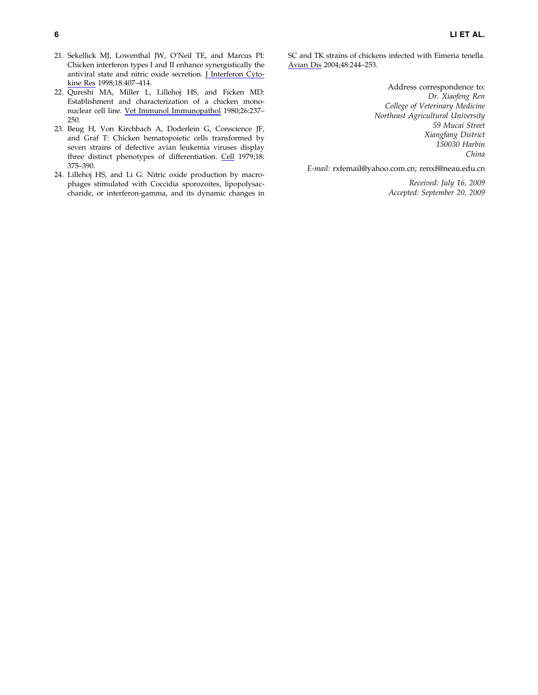- 21. Sekellick MJ, Lowenthal JW, O'Neil TE, and Marcus PI: Chicken interferon types I and II enhance synergistically the antiviral state and nitric oxide secretion. J Interferon Cytokine Res 1998;18:407–414.
- 22. Qureshi MA, Miller L, Lillehoj HS, and Ficken MD: Establishment and characterization of a chicken mononuclear cell line. Vet Immunol Immunopathol 1980;26:237– 250.
- 23. Beug H, Von Kirchbach A, Doderlein G, Conscience JF, and Graf T: Chicken hematopoietic cells transformed by seven strains of defective avian leukemia viruses display three distinct phenotypes of differentiation. Cell 1979;18: 375–390.
- 24. Lillehoj HS, and Li G: Nitric oxide production by macrophages stimulated with Coccidia sporozoites, lipopolysaccharide, or interferon-gamma, and its dynamic changes in

SC and TK strains of chickens infected with Eimeria tenella. Avian Dis 2004;48:244–253.

> Address correspondence to: Dr. Xiaofeng Ren College of Veterinary Medicine Northeast Agricultural University 59 Mucai Street Xiangfang District 150030 Harbin China

E-mail: rxfemail@yahoo.com.cn; renxf@neau.edu.cn

Received: July 16, 2009 Accepted: September 20, 2009